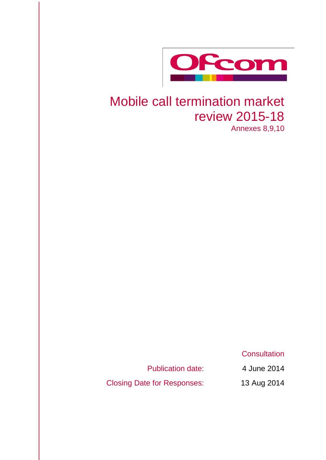

## Mobile call termination market review 2015-18 Annexes 8,9,10

**Consultation** 

Publication date: 4 June 2014

Closing Date for Responses: 13 Aug 2014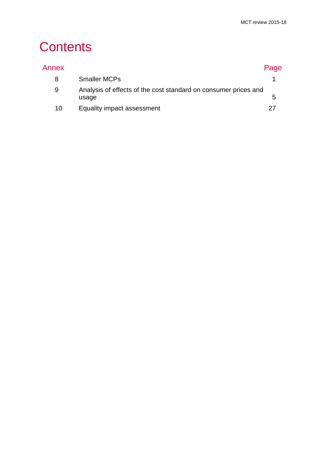# **Contents**

| Annex |                                                                          | Page |
|-------|--------------------------------------------------------------------------|------|
| 8     | <b>Smaller MCPs</b>                                                      |      |
| 9     | Analysis of effects of the cost standard on consumer prices and<br>usage | b    |
| 10    | Equality impact assessment                                               |      |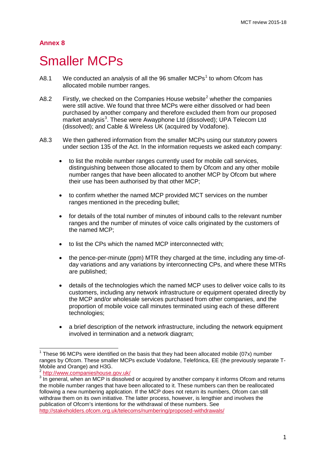## **Annex 8**

## <span id="page-3-0"></span>8 Smaller MCPs

- A8.[1](#page-3-1) We conducted an analysis of all the 96 smaller MCPs<sup>1</sup> to whom Ofcom has allocated mobile number ranges.
- A8.[2](#page-3-2) Firstly, we checked on the Companies House website<sup>2</sup> whether the companies were still active. We found that three MCPs were either dissolved or had been purchased by another company and therefore excluded them from our proposed market analysis<sup>[3](#page-3-3)</sup>. These were Awayphone Ltd (dissolved); UPA Telecom Ltd (dissolved); and Cable & Wireless UK (acquired by Vodafone).
- A8.3 We then gathered information from the smaller MCPs using our statutory powers under section 135 of the Act. In the information requests we asked each company:
	- to list the mobile number ranges currently used for mobile call services, distinguishing between those allocated to them by Ofcom and any other mobile number ranges that have been allocated to another MCP by Ofcom but where their use has been authorised by that other MCP;
	- to confirm whether the named MCP provided MCT services on the number ranges mentioned in the preceding bullet;
	- for details of the total number of minutes of inbound calls to the relevant number ranges and the number of minutes of voice calls originated by the customers of the named MCP;
	- to list the CPs which the named MCP interconnected with;
	- the pence-per-minute (ppm) MTR they charged at the time, including any time-ofday variations and any variations by interconnecting CPs, and where these MTRs are published;
	- details of the technologies which the named MCP uses to deliver voice calls to its customers, including any network infrastructure or equipment operated directly by the MCP and/or wholesale services purchased from other companies, and the proportion of mobile voice call minutes terminated using each of these different technologies;
	- a brief description of the network infrastructure, including the network equipment involved in termination and a network diagram;

<span id="page-3-1"></span> $1$  These 96 MCPs were identified on the basis that they had been allocated mobile (07x) number ranges by Ofcom. These smaller MCPs exclude Vodafone, Telefónica, EE (the previously separate T-Mobile and Orange) and H3G.  $\overline{a}$ 

<span id="page-3-2"></span><http://www.companieshouse.gov.uk/>

<span id="page-3-3"></span><sup>&</sup>lt;sup>3</sup> In general, when an MCP is dissolved or acquired by another company it informs Ofcom and returns the mobile number ranges that have been allocated to it. These numbers can then be reallocated following a new numbering application. If the MCP does not return its numbers, Ofcom can still withdraw them on its own initiative. The latter process, however, is lengthier and involves the publication of Ofcom's intentions for the withdrawal of these numbers. See <http://stakeholders.ofcom.org.uk/telecoms/numbering/proposed-withdrawals/>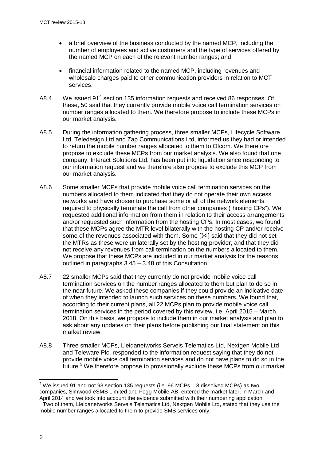- a brief overview of the business conducted by the named MCP, including the number of employees and active customers and the type of services offered by the named MCP on each of the relevant number ranges; and
- financial information related to the named MCP, including revenues and wholesale charges paid to other communication providers in relation to MCT services.
- A8.[4](#page-4-0) We issued 91<sup>4</sup> section 135 information requests and received 86 responses. Of these, 50 said that they currently provide mobile voice call termination services on number ranges allocated to them. We therefore propose to include these MCPs in our market analysis.
- A8.5 During the information gathering process, three smaller MCPs, Lifecycle Software Ltd, Teledesign Ltd and Zap Communications Ltd, informed us they had or intended to return the mobile number ranges allocated to them to Ofcom. We therefore propose to exclude these MCPs from our market analysis. We also found that one company, Interact Solutions Ltd, has been put into liquidation since responding to our information request and we therefore also propose to exclude this MCP from our market analysis.
- A8.6 Some smaller MCPs that provide mobile voice call termination services on the numbers allocated to them indicated that they do not operate their own access networks and have chosen to purchase some or all of the network elements required to physically terminate the call from other companies ("hosting CPs"). We requested additional information from them in relation to their access arrangements and/or requested such information from the hosting CPs. In most cases, we found that these MCPs agree the MTR level bilaterally with the hosting CP and/or receive some of the revenues associated with them. Some  $[\times]$  said that they did not set the MTRs as these were unilaterally set by the hosting provider, and that they did not receive any revenues from call termination on the numbers allocated to them. We propose that these MCPs are included in our market analysis for the reasons outlined in paragraphs 3.45 – 3.48 of this Consultation.
- A8.7 22 smaller MCPs said that they currently do not provide mobile voice call termination services on the number ranges allocated to them but plan to do so in the near future. We asked these companies if they could provide an indicative date of when they intended to launch such services on these numbers. We found that, according to their current plans, all 22 MCPs plan to provide mobile voice call termination services in the period covered by this review, i.e. April 2015 – March 2018. On this basis, we propose to include them in our market analysis and plan to ask about any updates on their plans before publishing our final statement on this market review.
- A8.8 Three smaller MCPs, Lleidanetworks Serveis Telematics Ltd, Nextgen Mobile Ltd and Teleware Plc, responded to the information request saying that they do not provide mobile voice call termination services and do not have plans to do so in the future.<sup>[5](#page-4-1)</sup> We therefore propose to provisionally exclude these MCPs from our market

<span id="page-4-0"></span> $4$  We issued 91 and not 93 section 135 requests (i.e. 96 MCPs – 3 dissolved MCPs) as two companies, Simwood eSMS Limited and Fogg Mobile AB, entered the market later, in March and April 2014 and we took into account the evidence submitted with their numbering application.  $\overline{a}$ 

<span id="page-4-1"></span><sup>&</sup>lt;sup>5</sup> Two of them, Lleidanetworks Serveis Telematics Ltd, Nextgen Mobile Ltd, stated that they use the mobile number ranges allocated to them to provide SMS services only.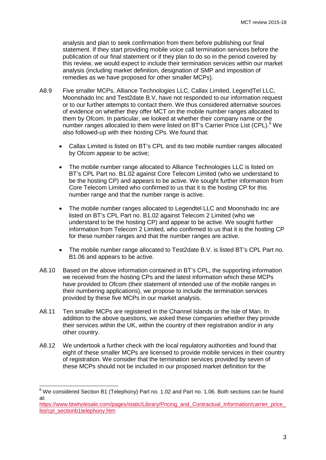analysis and plan to seek confirmation from them before publishing our final statement. If they start providing mobile voice call termination services before the publication of our final statement or if they plan to do so in the period covered by this review, we would expect to include their termination services within our market analysis (including market definition, designation of SMP and imposition of remedies as we have proposed for other smaller MCPs).

- A8.9 Five smaller MCPs, Alliance Technologies LLC, Callax Limited, LegendTel LLC, Moonshado Inc and Test2date B.V, have not responded to our information request or to our further attempts to contact them. We thus considered alternative sources of evidence on whether they offer MCT on the mobile number ranges allocated to them by Ofcom. In particular, we looked at whether their company name or the number ranges allocated to them were listed on BT's Carrier Price List (CPL).<sup>[6](#page-5-0)</sup> We also followed-up with their hosting CPs. We found that:
	- Callax Limited is listed on BT's CPL and its two mobile number ranges allocated by Ofcom appear to be active;
	- The mobile number range allocated to Alliance Technologies LLC is listed on BT's CPL Part no. B1.02 against Core Telecom Limited (who we understand to be the hosting CP) and appears to be active. We sought further information from Core Telecom Limited who confirmed to us that it is the hosting CP for this number range and that the number range is active.
	- The mobile number ranges allocated to Legendtel LLC and Moonshado Inc are listed on BT's CPL Part no. B1.02 against Telecom 2 Limited (who we understand to be the hosting CP) and appear to be active. We sought further information from Telecom 2 Limited, who confirmed to us that it is the hosting CP for these number ranges and that the number ranges are active.
	- The mobile number range allocated to Test2date B.V. is listed BT's CPL Part no. B1.06 and appears to be active.
- A8.10 Based on the above information contained in BT's CPL, the supporting information we received from the hosting CPs and the latest information which these MCPs have provided to Ofcom (their statement of intended use of the mobile ranges in their numbering applications), we propose to include the termination services provided by these five MCPs in our market analysis.
- A8.11 Ten smaller MCPs are registered in the Channel Islands or the Isle of Man. In addition to the above questions, we asked these companies whether they provide their services within the UK, within the country of their registration and/or in any other country.
- A8.12 We undertook a further check with the local regulatory authorities and found that eight of these smaller MCPs are licensed to provide mobile services in their country of registration. We consider that the termination services provided by seven of these MCPs should not be included in our proposed market definition for the

<span id="page-5-0"></span> $6$  We considered Section B1 (Telephony) Part no. 1.02 and Part no. 1.06. Both sections can be found at:

https://www.btwholesale.com/pages/static/Library/Pricing\_and\_Contractual\_Information/carrier\_price [list/cpl\\_sectionb1telephony.htm](https://www.btwholesale.com/pages/static/Library/Pricing_and_Contractual_Information/carrier_price_list/cpl_sectionb1telephony.htm)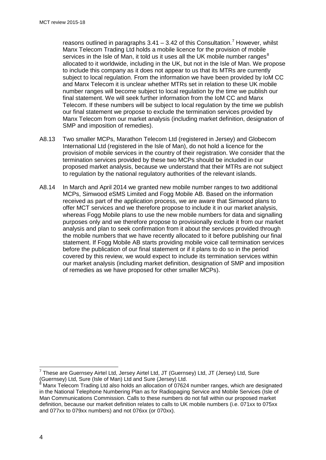reasons outlined in paragraphs  $3.41 - 3.42$  of this Consultation.<sup>[7](#page-6-0)</sup> However, whilst Manx Telecom Trading Ltd holds a mobile licence for the provision of mobile services in the Isle of Man, it told us it uses all the UK mobile number ranges $8$ allocated to it worldwide, including in the UK, but not in the Isle of Man. We propose to include this company as it does not appear to us that its MTRs are currently subject to local regulation. From the information we have been provided by IoM CC and Manx Telecom it is unclear whether MTRs set in relation to these UK mobile number ranges will become subject to local regulation by the time we publish our final statement. We will seek further information from the IoM CC and Manx Telecom. If these numbers will be subject to local regulation by the time we publish our final statement we propose to exclude the termination services provided by Manx Telecom from our market analysis (including market definition, designation of SMP and imposition of remedies).

- A8.13 Two smaller MCPs, Marathon Telecom Ltd (registered in Jersey) and Globecom International Ltd (registered in the Isle of Man), do not hold a licence for the provision of mobile services in the country of their registration. We consider that the termination services provided by these two MCPs should be included in our proposed market analysis, because we understand that their MTRs are not subject to regulation by the national regulatory authorities of the relevant islands.
- A8.14 In March and April 2014 we granted new mobile number ranges to two additional MCPs, Simwood eSMS Limited and Fogg Mobile AB. Based on the information received as part of the application process, we are aware that Simwood plans to offer MCT services and we therefore propose to include it in our market analysis, whereas Fogg Mobile plans to use the new mobile numbers for data and signalling purposes only and we therefore propose to provisionally exclude it from our market analysis and plan to seek confirmation from it about the services provided through the mobile numbers that we have recently allocated to it before publishing our final statement. If Fogg Mobile AB starts providing mobile voice call termination services before the publication of our final statement or if it plans to do so in the period covered by this review, we would expect to include its termination services within our market analysis (including market definition, designation of SMP and imposition of remedies as we have proposed for other smaller MCPs).

<span id="page-6-0"></span><sup>7</sup> These are Guernsey Airtel Ltd, Jersey Airtel Ltd, JT (Guernsey) Ltd, JT (Jersey) Ltd, Sure (Guernsey) Ltd, Sure (Isle of Man) Ltd and Sure (Jersey) Ltd.  $\overline{a}$ 

<span id="page-6-1"></span>Manx Telecom Trading Ltd also holds an allocation of 07624 number ranges, which are designated in the National Telephone Numbering Plan as for Radiopaging Service and Mobile Services (Isle of Man Communications Commission. Calls to these numbers do not fall within our proposed market definition, because our market definition relates to calls to UK mobile numbers (i.e. 071xx to 075xx and 077xx to 079xx numbers) and not 076xx (or 070xx).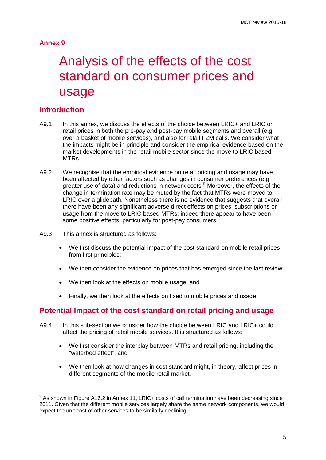## <span id="page-7-0"></span>**Annex 9**

## 9 Analysis of the effects of the cost standard on consumer prices and usage

## **Introduction**

 $\overline{a}$ 

- A9.1 In this annex, we discuss the effects of the choice between LRIC+ and LRIC on retail prices in both the pre-pay and post-pay mobile segments and overall (e.g. over a basket of mobile services), and also for retail F2M calls. We consider what the impacts might be in principle and consider the empirical evidence based on the market developments in the retail mobile sector since the move to LRIC based MTRs.
- A9.2 We recognise that the empirical evidence on retail pricing and usage may have been affected by other factors such as changes in consumer preferences (e.g. greater use of data) and reductions in network costs.<sup>[9](#page-7-1)</sup> Moreover, the effects of the change in termination rate may be muted by the fact that MTRs were moved to LRIC over a glidepath. Nonetheless there is no evidence that suggests that overall there have been any significant adverse direct effects on prices, subscriptions or usage from the move to LRIC based MTRs; indeed there appear to have been some positive effects, particularly for post-pay consumers.
- A9.3 This annex is structured as follows:
	- We first discuss the potential impact of the cost standard on mobile retail prices from first principles:
	- We then consider the evidence on prices that has emerged since the last review;
	- We then look at the effects on mobile usage; and
	- Finally, we then look at the effects on fixed to mobile prices and usage.

## **Potential Impact of the cost standard on retail pricing and usage**

- A9.4 In this sub-section we consider how the choice between LRIC and LRIC+ could affect the pricing of retail mobile services. It is structured as follows:
	- We first consider the interplay between MTRs and retail pricing, including the "waterbed effect"; and
	- We then look at how changes in cost standard might, in theory, affect prices in different segments of the mobile retail market.

<span id="page-7-1"></span> $^9$  As shown in Figure A16.2 in Annex 11, LRIC+ costs of call termination have been decreasing since 2011. Given that the different mobile services largely share the same network components, we would expect the unit cost of other services to be similarly declining.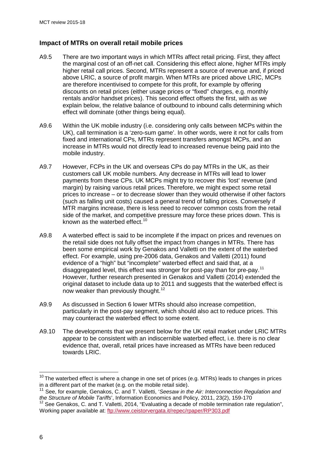## **Impact of MTRs on overall retail mobile prices**

- A9.5 There are two important ways in which MTRs affect retail pricing. First, they affect the marginal cost of an off-net call. Considering this effect alone, higher MTRs imply higher retail call prices. Second, MTRs represent a source of revenue and, if priced above LRIC, a source of profit margin. When MTRs are priced above LRIC, MCPs are therefore incentivised to compete for this profit, for example by offering discounts on retail prices (either usage prices or "fixed" charges, e.g. monthly rentals and/or handset prices). This second effect offsets the first, with as we explain below, the relative balance of outbound to inbound calls determining which effect will dominate (other things being equal).
- A9.6 Within the UK mobile industry (i.e. considering only calls between MCPs within the UK), call termination is a 'zero-sum game'. In other words, were it not for calls from fixed and international CPs, MTRs represent transfers amongst MCPs, and an increase in MTRs would not directly lead to increased revenue being paid into the mobile industry.
- A9.7 However, FCPs in the UK and overseas CPs do pay MTRs in the UK, as their customers call UK mobile numbers. Any decrease in MTRs will lead to lower payments from these CPs. UK MCPs might try to recover this 'lost' revenue (and margin) by raising various retail prices. Therefore, we might expect some retail prices to increase – or to decrease slower than they would otherwise if other factors (such as falling unit costs) caused a general trend of falling prices. Conversely if MTR margins increase, there is less need to recover common costs from the retail side of the market, and competitive pressure may force these prices down. This is known as the waterbed effect. $10$
- A9.8 A waterbed effect is said to be incomplete if the impact on prices and revenues on the retail side does not fully offset the impact from changes in MTRs. There has been some empirical work by Genakos and Valletti on the extent of the waterbed effect. For example, using pre-2006 data, Genakos and Valletti (2011) found evidence of a "high" but "incomplete" waterbed effect and said that, at a disaggregated level, this effect was stronger for post-pay than for pre-pay.<sup>[11](#page-8-1)</sup> However, further research presented in Genakos and Valletti (2014) extended the original dataset to include data up to 2011 and suggests that the waterbed effect is now weaker than previously thought.<sup>[12](#page-8-2)</sup>
- A9.9 As discussed in Section 6 lower MTRs should also increase competition, particularly in the post-pay segment, which should also act to reduce prices. This may counteract the waterbed effect to some extent.
- A9.10 The developments that we present below for the UK retail market under LRIC MTRs appear to be consistent with an indiscernible waterbed effect, i.e. there is no clear evidence that, overall, retail prices have increased as MTRs have been reduced towards LRIC.

-

<span id="page-8-0"></span> $10$  The waterbed effect is where a change in one set of prices (e.g. MTRs) leads to changes in prices in a different part of the market (e.g. on the mobile retail side).

<span id="page-8-1"></span><sup>11</sup> See, for example, Genakos, C. and T. Valletti, '*Seesaw in the Air: Interconnection Regulation and the Structure of Mobile Tariffs*', Information Economics and Policy, 2011, 23(2), 159-170

<span id="page-8-2"></span> $12$  See Genakos, C. and T. Valletti, 2014, "Evaluating a decade of mobile termination rate regulation", Working paper available at:<ftp://www.ceistorvergata.it/repec/rpaper/RP303.pdf>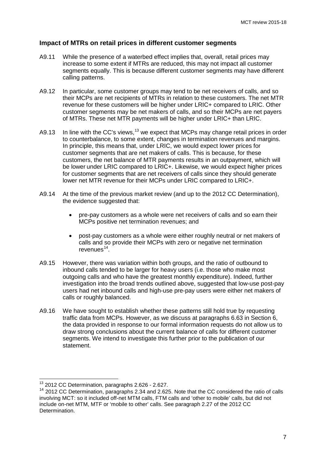#### **Impact of MTRs on retail prices in different customer segments**

- A9.11 While the presence of a waterbed effect implies that, overall, retail prices may increase to some extent if MTRs are reduced, this may not impact all customer segments equally. This is because different customer segments may have different calling patterns.
- A9.12 In particular, some customer groups may tend to be net receivers of calls, and so their MCPs are net recipients of MTRs in relation to these customers. The net MTR revenue for these customers will be higher under LRIC+ compared to LRIC. Other customer segments may be net makers of calls, and so their MCPs are net payers of MTRs. These net MTR payments will be higher under LRIC+ than LRIC.
- A9.[13](#page-9-0) In line with the CC's views,  $13$  we expect that MCPs may change retail prices in order to counterbalance, to some extent, changes in termination revenues and margins. In principle, this means that, under LRIC, we would expect lower prices for customer segments that are net makers of calls. This is because, for these customers, the net balance of MTR payments results in an outpayment, which will be lower under LRIC compared to LRIC+. Likewise, we would expect higher prices for customer segments that are net receivers of calls since they should generate lower net MTR revenue for their MCPs under LRIC compared to LRIC+.
- A9.14 At the time of the previous market review (and up to the 2012 CC Determination), the evidence suggested that:
	- pre-pay customers as a whole were net receivers of calls and so earn their MCPs positive net termination revenues; and
	- post-pay customers as a whole were either roughly neutral or net makers of calls and so provide their MCPs with zero or negative net termination revenues[14](#page-9-1).
- A9.15 However, there was variation within both groups, and the ratio of outbound to inbound calls tended to be larger for heavy users (i.e. those who make most outgoing calls and who have the greatest monthly expenditure). Indeed, further investigation into the broad trends outlined above, suggested that low-use post-pay users had net inbound calls and high-use pre-pay users were either net makers of calls or roughly balanced.
- A9.16 We have sought to establish whether these patterns still hold true by requesting traffic data from MCPs. However, as we discuss at paragraphs 6.63 in Section 6, the data provided in response to our formal information requests do not allow us to draw strong conclusions about the current balance of calls for different customer segments. We intend to investigate this further prior to the publication of our statement.

<sup>&</sup>lt;sup>13</sup> 2012 CC Determination, paragraphs 2.626 - 2.627.

<span id="page-9-1"></span><span id="page-9-0"></span><sup>&</sup>lt;sup>14</sup> 2012 CC Determination, paragraphs 2.34 and 2.625. Note that the CC considered the ratio of calls involving MCT: so it included off-net MTM calls, FTM calls and 'other to mobile' calls, but did not include on-net MTM, MTF or 'mobile to other' calls. See paragraph 2.27 of the 2012 CC Determination.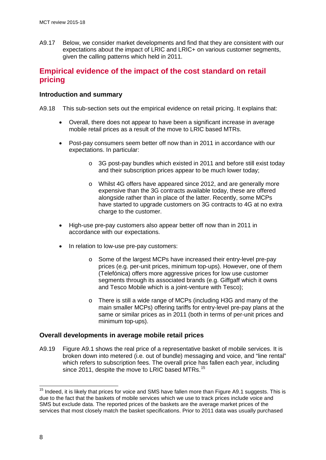A9.17 Below, we consider market developments and find that they are consistent with our expectations about the impact of LRIC and LRIC+ on various customer segments, given the calling patterns which held in 2011.

## **Empirical evidence of the impact of the cost standard on retail pricing**

#### **Introduction and summary**

- A9.18 This sub-section sets out the empirical evidence on retail pricing. It explains that:
	- Overall, there does not appear to have been a significant increase in average mobile retail prices as a result of the move to LRIC based MTRs.
	- Post-pay consumers seem better off now than in 2011 in accordance with our expectations. In particular:
		- o 3G post-pay bundles which existed in 2011 and before still exist today and their subscription prices appear to be much lower today;
		- o Whilst 4G offers have appeared since 2012, and are generally more expensive than the 3G contracts available today, these are offered alongside rather than in place of the latter. Recently, some MCPs have started to upgrade customers on 3G contracts to 4G at no extra charge to the customer.
	- High-use pre-pay customers also appear better off now than in 2011 in accordance with our expectations.
	- In relation to low-use pre-pay customers:
		- o Some of the largest MCPs have increased their entry-level pre-pay prices (e.g. per-unit prices, minimum top-ups). However, one of them (Telefónica) offers more aggressive prices for low use customer segments through its associated brands (e.g. Giffgaff which it owns and Tesco Mobile which is a joint-venture with Tesco);
		- o There is still a wide range of MCPs (including H3G and many of the main smaller MCPs) offering tariffs for entry-level pre-pay plans at the same or similar prices as in 2011 (both in terms of per-unit prices and minimum top-ups).

#### **Overall developments in average mobile retail prices**

A9.19 Figure A9.1 shows the real price of a representative basket of mobile services. It is broken down into metered (i.e. out of bundle) messaging and voice, and "line rental" which refers to subscription fees. The overall price has fallen each year, including since 2011, despite the move to LRIC based MTRs.<sup>[15](#page-10-0)</sup>

<span id="page-10-0"></span> $15$  Indeed, it is likely that prices for voice and SMS have fallen more than Figure A9.1 suggests. This is due to the fact that the baskets of mobile services which we use to track prices include voice and SMS but exclude data. The reported prices of the baskets are the average market prices of the services that most closely match the basket specifications. Prior to 2011 data was usually purchased  $\overline{a}$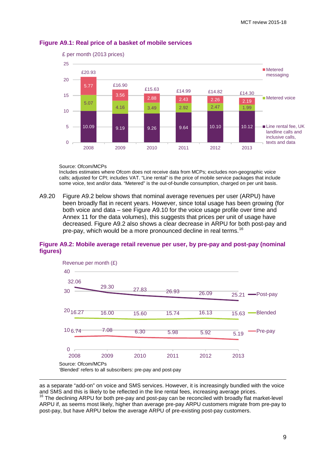

#### **Figure A9.1: Real price of a basket of mobile services**

#### Source: Ofcom/MCPs

-

Includes estimates where Ofcom does not receive data from MCPs; excludes non-geographic voice calls; adjusted for CPI; includes VAT. "Line rental" is the price of mobile service packages that include some voice, text and/or data. "Metered" is the out-of-bundle consumption, charged on per unit basis.

A9.20 Figure A9.2 below shows that nominal average revenues per user (ARPU) have been broadly flat in recent years. However, since total usage has been growing (for both voice and data – see Figure A9.10 for the voice usage profile over time and Annex 11 for the data volumes), this suggests that prices per unit of usage have decreased. Figure A9.2 also shows a clear decrease in ARPU for both post-pay and pre-pay, which would be a more pronounced decline in real terms.<sup>[16](#page-11-0)</sup>

#### **Figure A9.2: Mobile average retail revenue per user, by pre-pay and post-pay (nominal figures)**



as a separate "add-on" on voice and SMS services. However, it is increasingly bundled with the voice and SMS and this is likely to be reflected in the line rental fees, increasing average prices.

<span id="page-11-0"></span> $16$  The declining ARPU for both pre-pay and post-pay can be reconciled with broadly flat market-level ARPU if, as seems most likely, higher than average pre-pay ARPU customers migrate from pre-pay to post-pay, but have ARPU below the average ARPU of pre-existing post-pay customers.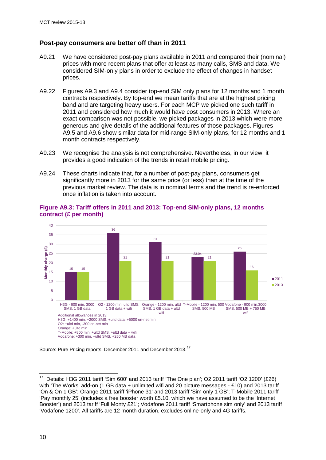#### **Post-pay consumers are better off than in 2011**

- A9.21 We have considered post-pay plans available in 2011 and compared their (nominal) prices with more recent plans that offer at least as many calls, SMS and data. We considered SIM-only plans in order to exclude the effect of changes in handset prices.
- A9.22 Figures A9.3 and A9.4 consider top-end SIM only plans for 12 months and 1 month contracts respectively. By top-end we mean tariffs that are at the highest pricing band and are targeting heavy users. For each MCP we picked one such tariff in 2011 and considered how much it would have cost consumers in 2013. Where an exact comparison was not possible, we picked packages in 2013 which were more generous and give details of the additional features of those packages. Figures A9.5 and A9.6 show similar data for mid-range SIM-only plans, for 12 months and 1 month contracts respectively.
- A9.23 We recognise the analysis is not comprehensive. Nevertheless, in our view, it provides a good indication of the trends in retail mobile pricing.
- A9.24 These charts indicate that, for a number of post-pay plans, consumers get significantly more in 2013 for the same price (or less) than at the time of the previous market review. The data is in nominal terms and the trend is re-enforced once inflation is taken into account.



#### **Figure A9.3: Tariff offers in 2011 and 2013: Top-end SIM-only plans, 12 months contract (£ per month)**

#### Source: Pure Pricing reports, December 2011 and December 2013.<sup>[17](#page-12-0)</sup>

<span id="page-12-0"></span><sup>17</sup> Details: H3G 2011 tariff 'Sim 600' and 2013 tariff 'The One plan'; O2 2011 tariff 'O2 1200' (£26) with 'The Works' add-on (1 GB data + unlimited wifi and 20 picture messages - £10) and 2013 tariff 'On & On 1 GB'; Orange 2011 tariff 'iPhone 31' and 2013 tariff 'Sim only 1 GB'; T-Mobile 2011 tariff 'Pay monthly 25' (includes a free booster worth £5.10, which we have assumed to be the 'Internet Booster') and 2013 tariff 'Full Monty £21'; Vodafone 2011 tariff 'Smartphone sim only' and 2013 tariff 'Vodafone 1200'. All tariffs are 12 month duration, excludes online-only and 4G tariffs. 17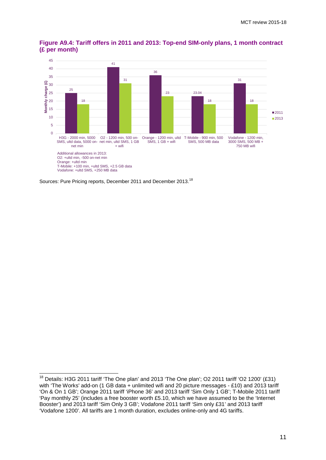

## **Figure A9.4: Tariff offers in 2011 and 2013: Top-end SIM-only plans, 1 month contract (£ per month)**

Sources: Pure Pricing reports, December 2011 and December 2013.<sup>[18](#page-13-0)</sup>

<span id="page-13-0"></span><sup>&</sup>lt;sup>18</sup> Details: H3G 2011 tariff 'The One plan' and 2013 'The One plan'; O2 2011 tariff 'O2 1200' (£31) with 'The Works' add-on (1 GB data + unlimited wifi and 20 picture messages - £10) and 2013 tariff 'On & On 1 GB'; Orange 2011 tariff 'iPhone 36' and 2013 tariff 'Sim Only 1 GB'; T-Mobile 2011 tariff 'Pay monthly 25' (includes a free booster worth £5.10, which we have assumed to be the 'Internet Booster') and 2013 tariff 'Sim Only 3 GB'; Vodafone 2011 tariff 'Sim only £31' and 2013 tariff 'Vodafone 1200'. All tariffs are 1 month duration, excludes online-only and 4G tariffs.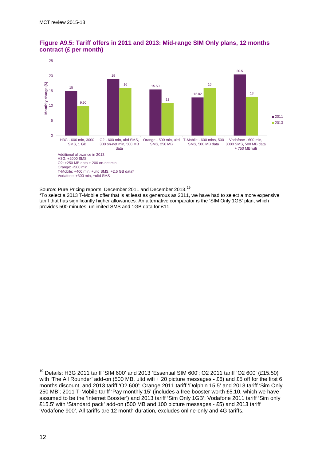

## **Figure A9.5: Tariff offers in 2011 and 2013: Mid-range SIM Only plans, 12 months contract (£ per month)**

Source: Pure Pricing reports, December 2011 and December 2013.<sup>[19](#page-14-0)</sup>

\*To select a 2013 T-Mobile offer that is at least as generous as 2011, we have had to select a more expensive tariff that has significantly higher allowances. An alternative comparator is the 'SIM Only 1GB' plan, which provides 500 minutes, unlimited SMS and 1GB data for £11.

<span id="page-14-0"></span><sup>&</sup>lt;sup>19</sup> Details: H3G 2011 tariff 'SIM 600' and 2013 'Essential SIM 600'; O2 2011 tariff 'O2 600' (£15.50) with 'The All Rounder' add-on (500 MB, ultd wifi + 20 picture messages - £6) and £5 off for the first 6 months discount, and 2013 tariff 'O2 600'; Orange 2011 tariff 'Dolphin 15.5' and 2013 tariff 'Sim Only 250 MB'; 2011 T-Mobile tariff 'Pay monthly 15' (includes a free booster worth £5.10, which we have assumed to be the 'Internet Booster') and 2013 tariff 'Sim Only 1GB'; Vodafone 2011 tariff 'Sim only £15.5' with 'Standard pack' add-on (500 MB and 100 picture messages - £5) and 2013 tariff 'Vodafone 900'. All tariffs are 12 month duration, excludes online-only and 4G tariffs.  $\overline{a}$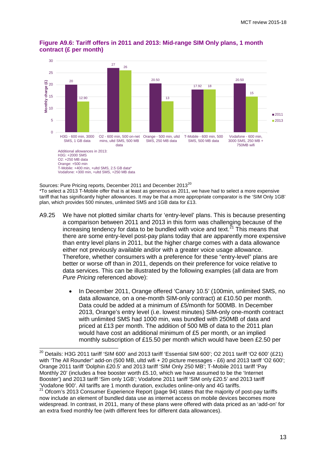

## **Figure A9.6: Tariff offers in 2011 and 2013: Mid-range SIM Only plans, 1 month contract (£ per month)**

Sources: Pure Pricing reports, December [20](#page-15-0)11 and December 2013<sup>20</sup>

\*To select a 2013 T-Mobile offer that is at least as generous as 2011, we have had to select a more expensive tariff that has significantly higher allowances. It may be that a more appropriate comparator is the 'SIM Only 1GB' plan, which provides 500 minutes, unlimited SMS and 1GB data for £13.

- A9.25 We have not plotted similar charts for 'entry-level' plans. This is because presenting a comparison between 2011 and 2013 in this form was challenging because of the increasing tendency for data to be bundled with voice and text.<sup>[21](#page-15-1)</sup> This means that there are some entry-level post-pay plans today that are apparently more expensive than entry level plans in 2011, but the higher charge comes with a data allowance either not previously available and/or with a greater voice usage allowance. Therefore, whether consumers with a preference for these "entry-level" plans are better or worse off than in 2011, depends on their preference for voice relative to data services. This can be illustrated by the following examples (all data are from *Pure Pricing* referenced above):
	- In December 2011, Orange offered 'Canary 10.5' (100min, unlimited SMS, no data allowance, on a one-month SIM-only contract) at £10.50 per month. Data could be added at a minimum of £5/month for 500MB. In December 2013, Orange's entry level (i.e. lowest minutes) SIM-only one-month contract with unlimited SMS had 1000 min, was bundled with 250MB of data and priced at £13 per month. The addition of 500 MB of data to the 2011 plan would have cost an additional minimum of £5 per month, or an implied monthly subscription of £15.50 per month which would have been £2.50 per

<span id="page-15-0"></span><sup>&</sup>lt;sup>20</sup> Details: H3G 2011 tariff 'SIM 600' and 2013 tariff 'Essential SIM 600'; O2 2011 tariff 'O2 600' (£21) with 'The All Rounder" add-on (500 MB, ultd wifi + 20 picture messages - £6) and 2013 tariff 'O2 600'; Orange 2011 tariff 'Dolphin £20.5' and 2013 tariff 'SIM Only 250 MB'; T-Mobile 2011 tariff 'Pay Monthly 20' (includes a free booster worth £5.10, which we have assumed to be the 'Internet Booster') and 2013 tariff 'Sim only 1GB'; Vodafone 2011 tariff 'SIM only £20.5' and 2013 tariff  $\overline{a}$ 

<span id="page-15-1"></span><sup>&#</sup>x27;Vodafone 900'. All tariffs are 1 month duration, excludes online-only and 4G tariffs. 21 Ofcom's 2013 Consumer Experience Report (page 94) states that the majority of post-pay tariffs now include an element of bundled data use as internet access on mobile devices becomes more widespread. In contrast, in 2011, many of these plans were offered with data priced as an 'add-on' for an extra fixed monthly fee (with different fees for different data allowances).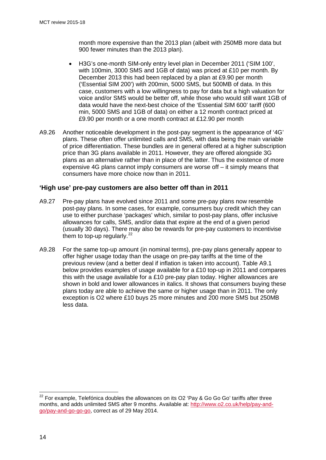month more expensive than the 2013 plan (albeit with 250MB more data but 900 fewer minutes than the 2013 plan).

- H3G's one-month SIM-only entry level plan in December 2011 ('SIM 100', with 100min, 3000 SMS and 1GB of data) was priced at £10 per month. By December 2013 this had been replaced by a plan at £9.90 per month ('Essential SIM 200') with 200min, 5000 SMS, but 500MB of data. In this case, customers with a low willingness to pay for data but a high valuation for voice and/or SMS would be better off, while those who would still want 1GB of data would have the next-best choice of the 'Essential SIM 600' tariff (600 min, 5000 SMS and 1GB of data) on either a 12 month contract priced at £9.90 per month or a one month contract at £12.90 per month
- A9.26 Another noticeable development in the post-pay segment is the appearance of '4G' plans. These often offer unlimited calls and SMS, with data being the main variable of price differentiation. These bundles are in general offered at a higher subscription price than 3G plans available in 2011. However, they are offered alongside 3G plans as an alternative rather than in place of the latter. Thus the existence of more expensive 4G plans cannot imply consumers are worse off – it simply means that consumers have more choice now than in 2011.

## **'High use' pre-pay customers are also better off than in 2011**

- A9.27 Pre-pay plans have evolved since 2011 and some pre-pay plans now resemble post-pay plans. In some cases, for example, consumers buy credit which they can use to either purchase 'packages' which, similar to post-pay plans, offer inclusive allowances for calls, SMS, and/or data that expire at the end of a given period (usually 30 days). There may also be rewards for pre-pay customers to incentivise them to top-up regularly. $22$
- A9.28 For the same top-up amount (in nominal terms), pre-pay plans generally appear to offer higher usage today than the usage on pre-pay tariffs at the time of the previous review (and a better deal if inflation is taken into account). Table A9.1 below provides examples of usage available for a £10 top-up in 2011 and compares this with the usage available for a £10 pre-pay plan today. Higher allowances are shown in bold and lower allowances in italics. It shows that consumers buying these plans today are able to achieve the same or higher usage than in 2011. The only exception is O2 where £10 buys 25 more minutes and 200 more SMS but 250MB less data.

<span id="page-16-0"></span> $22$  For example, Telefónica doubles the allowances on its O2 'Pay & Go Go Go' tariffs after three months, and adds unlimited SMS after 9 months. Available at: [http://www.o2.co.uk/help/pay-and](http://www.o2.co.uk/help/pay-and-go/pay-and-go-go-go)[go/pay-and-go-go-go,](http://www.o2.co.uk/help/pay-and-go/pay-and-go-go-go) correct as of 29 May 2014.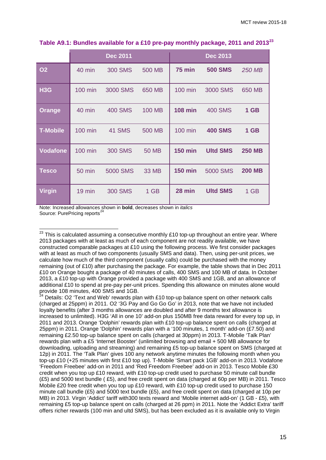|                  |                   | <b>Dec 2011</b> |               |                | <b>Dec 2013</b> |               |
|------------------|-------------------|-----------------|---------------|----------------|-----------------|---------------|
| <b>O2</b>        | 40 min            | <b>300 SMS</b>  | 500 MB        | $75$ min       | <b>500 SMS</b>  | 250 MB        |
| H <sub>3</sub> G | <b>100 min</b>    | 3000 SMS        | 650 MB        | $100$ min      | 3000 SMS        | 650 MB        |
| Orange           | 40 min            | 400 SMS         | <b>100 MB</b> | <b>108 min</b> | 400 SMS         | 1 GB          |
| <b>T-Mobile</b>  | $100 \text{ min}$ | <b>41 SMS</b>   | 500 MB        | <b>100 min</b> | <b>400 SMS</b>  | 1 GB          |
| <b>Vodafone</b>  | $100 \text{ min}$ | <b>300 SMS</b>  | <b>50 MB</b>  | <b>150 min</b> | <b>Ultd SMS</b> | <b>250 MB</b> |
| <b>Tesco</b>     | <b>50 min</b>     | 5000 SMS        | <b>33 MB</b>  | <b>150 min</b> | 5000 SMS        | <b>200 MB</b> |
| Virgin           | $19$ min          | <b>300 SMS</b>  | 1 GB          | 28 min         | <b>Ultd SMS</b> | 1 GB          |

#### **Table A9.1: Bundles available for a £10 pre-pay monthly package, 2011 and 2013[23](#page-17-0)**

Note: Increased allowances shown in **bold**, decreases shown in *italics* Source: PurePricing reports<sup>[24](#page-17-1)</sup>

<span id="page-17-1"></span>Details: O2 'Text and Web' rewards plan with £10 top-up balance spent on other network calls (charged at 25ppm) in 2011. O2 '3G Pay and Go Go Go' in 2013, note that we have not included loyalty benefits (after 3 months allowances are doubled and after 9 months text allowance is increased to unlimited). H3G 'All in one 10' add-on plus 150MB free data reward for every top up, in 2011 and 2013. Orange 'Dolphin' rewards plan with £10 top-up balance spent on calls (charged at 25ppm) in 2011. Orange 'Dolphin' rewards plan with a '100 minutes, 1 month' add-on (£7.50) and remaining £2.50 top-up balance spent on calls (charged at 30ppm) in 2013. T-Mobile 'Talk Plan' rewards plan with a £5 'Internet Booster' (unlimited browsing and email + 500 MB allowance for downloading, uploading and streaming) and remaining £5 top-up balance spent on SMS (charged at 12p) in 2011. The 'Talk Plan' gives 100 any network anytime minutes the following month when you top-up £10 (+25 minutes with first £10 top up). T-Mobile 'Smart pack 1GB' add-on in 2013. Vodafone 'Freedom Freebee' add-on in 2011 and 'Red Freedom Freebee' add-on in 2013. Tesco Mobile £30 credit when you top up £10 reward, with £10 top-up credit used to purchase 50 minute call bundle (£5) and 5000 text bundle ( £5), and free credit spent on data (charged at 60p per MB) in 2011. Tesco Mobile £20 free credit when you top up £10 reward, with £10 top-up credit used to purchase 150 minute call bundle (£5) and 5000 text bundle (£5), and free credit spent on data (charged at 10p per MB) in 2013. Virgin 'Addict' tariff with300 texts reward and 'Mobile internet add-on' (1 GB - £5), with remaining £5 top-up balance spent on calls (charged at 26 ppm) in 2011. Note the 'Addict Extra' tariff offers richer rewards (100 min and ultd SMS), but has been excluded as it is available only to Virgin

<span id="page-17-0"></span> $^{23}$  This is calculated assuming a consecutive monthly £10 top-up throughout an entire year. Where 2013 packages with at least as much of each component are not readily available, we have constructed comparable packages at £10 using the following process. We first consider packages with at least as much of two components (usually SMS and data). Then, using per-unit prices, we calculate how much of the third component (usually calls) could be purchased with the money remaining (out of £10) after purchasing the package. For example, the table shows that in Dec 2011 £10 on Orange bought a package of 40 minutes of calls, 400 SMS and 100 MB of data. In October 2013, a £10 top-up with Orange provided a package with 400 SMS and 1GB, and an allowance of additional £10 to spend at pre-pay per-unit prices. Spending this allowance on minutes alone would provide 108 minutes, 400 SMS and 1GB.<br><sup>24</sup> Details: CC T  $\overline{a}$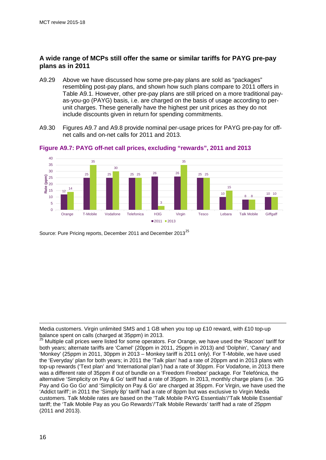## **A wide range of MCPs still offer the same or similar tariffs for PAYG pre-pay plans as in 2011**

- A9.29 Above we have discussed how some pre-pay plans are sold as "packages" resembling post-pay plans, and shown how such plans compare to 2011 offers in Table A9.1. However, other pre-pay plans are still priced on a more traditional payas-you-go (PAYG) basis, i.e. are charged on the basis of usage according to perunit charges. These generally have the highest per unit prices as they do not include discounts given in return for spending commitments.
- A9.30 Figures A9.7 and A9.8 provide nominal per-usage prices for PAYG pre-pay for offnet calls and on-net calls for 2011 and 2013.



**Figure A9.7: PAYG off-net call prices, excluding "rewards", 2011 and 2013**

Source: Pure Pricing reports, December 2011 and December 2013<sup>[25](#page-18-0)</sup>

Media customers. Virgin unlimited SMS and 1 GB when you top up £10 reward, with £10 top-up balance spent on calls (charged at 35ppm) in 2013. -

<span id="page-18-0"></span><sup>&</sup>lt;sup>25</sup> Multiple call prices were listed for some operators. For Orange, we have used the 'Racoon' tariff for both years; alternate tariffs are 'Camel' (20ppm in 2011, 25ppm in 2013) and 'Dolphin', 'Canary' and 'Monkey' (25ppm in 2011, 30ppm in 2013 – Monkey tariff is 2011 only). For T-Mobile, we have used the 'Everyday' plan for both years; in 2011 the 'Talk plan' had a rate of 20ppm and in 2013 plans with top-up rewards ('Text plan' and 'International plan') had a rate of 30ppm. For Vodafone, in 2013 there was a different rate of 35ppm if out of bundle on a 'Freedom Freebee' package. For Telefónica, the alternative 'Simplicity on Pay & Go' tariff had a rate of 35ppm. In 2013, monthly charge plans (i.e. '3G Pay and Go Go Go' and 'Simplicity on Pay & Go' are charged at 35ppm. For Virgin, we have used the 'Addict tariff'; in 2011 the 'Simply 8p' tariff had a rate of 8ppm but was exclusive to Virgin Media customers. Talk Mobile rates are based on the 'Talk Mobile PAYG Essentials'/'Talk Mobile Essential' tariff; the 'Talk Mobile Pay as you Go Rewards'/'Talk Mobile Rewards' tariff had a rate of 25ppm (2011 and 2013).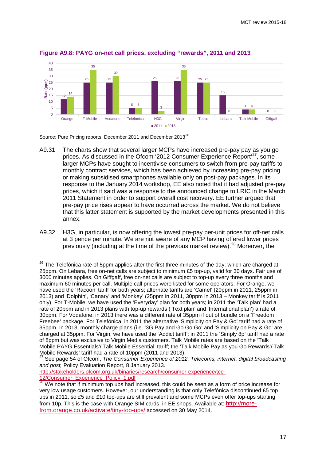

**Figure A9.8: PAYG on-net call prices, excluding "rewards", 2011 and 2013**

Source: Pure Pricing reports, December 2011 and December 2013<sup>[26](#page-19-0)</sup>

- A9.31 The charts show that several larger MCPs have increased pre-pay pay as you go prices. As discussed in the Ofcom '2012 Consumer Experience Report'<sup>27</sup>, some larger MCPs have sought to incentivise consumers to switch from pre-pay tariffs to monthly contract services, which has been achieved by increasing pre-pay pricing or making subsidised smartphones available only on post-pay packages. In its response to the January 2014 workshop, EE also noted that it had adjusted pre-pay prices, which it said was a response to the announced change to LRIC in the March 2011 Statement in order to support overall cost recovery. EE further argued that pre-pay price rises appear to have occurred across the market. We do not believe that this latter statement is supported by the market developments presented in this annex.
- A9.32 H3G, in particular, is now offering the lowest pre-pay per-unit prices for off-net calls at 3 pence per minute. We are not aware of any MCP having offered lower prices previously (including at the time of the previous market review).<sup>[28](#page-19-2)</sup> Moreover, the

[12/Consumer\\_Experience\\_Policy\\_1.pdf](http://stakeholders.ofcom.org.uk/binaries/research/consumer-experience/tce-12/Consumer_Experience_Policy_1.pdf)

<span id="page-19-0"></span> $^{26}$  The Telefónica rate of 5ppm applies after the first three minutes of the day, which are charged at 25ppm. On Lebara, free on-net calls are subject to minimum £5 top-up, valid for 30 days. Fair use of 3000 minutes applies. On Giffgaff, free on-net calls are subject to top-up every three months and maximum 60 minutes per call. Multiple call prices were listed for some operators. For Orange, we have used the 'Racoon' tariff for both years; alternate tariffs are 'Camel' (20ppm in 2011, 25ppm in 2013) and 'Dolphin', 'Canary' and 'Monkey' (25ppm in 2011, 30ppm in 2013 – Monkey tariff is 2011 only). For T-Mobile, we have used the 'Everyday' plan for both years; in 2011 the 'Talk plan' had a rate of 20ppm and in 2013 plans with top-up rewards ('Text plan' and 'International plan') a rate of 30ppm. For Vodafone, in 2013 there was a different rate of 35ppm if out of bundle on a 'Freedom Freebee' package. For Telefónica, in 2011 the alternative 'Simplicity on Pay & Go' tariff had a rate of 35ppm. In 2013, monthly charge plans (i.e. '3G Pay and Go Go Go' and 'Simplicity on Pay & Go' are charged at 35ppm. For Virgin, we have used the 'Addict tariff'; in 2011 the 'Simply 8p' tariff had a rate of 8ppm but was exclusive to Virgin Media customers. Talk Mobile rates are based on the 'Talk Mobile PAYG Essentials'/'Talk Mobile Essential' tariff; the 'Talk Mobile Pay as you Go Rewards'/'Talk<br>Mobile Rewards' tariff had a rate of 10ppm (2011 and 2013).<br><sup>27</sup> See noss 54 of Of tary Time C

<span id="page-19-1"></span>See page 54 of Ofcom, *The Consumer Experience of 2012, Telecoms, internet, digital broadcasting and post,* Policy Evaluation Report, 8 January 2013.

[http://stakeholders.ofcom.org.uk/binaries/research/consumer-experience/tce-](http://stakeholders.ofcom.org.uk/binaries/research/consumer-experience/tce-12/Consumer_Experience_Policy_1.pdf)

<span id="page-19-2"></span><sup>28</sup> We note that if minimum top ups had increased, this could be seen as a form of price increase for very low usage customers. However, our understanding is that only Telefónica discontinued £5 top ups in 2011, so £5 and £10 top-ups are still prevalent and some MCPs even offer top-ups starting from 10p. This is the case with Orange SIM cards, in EE shops. Available at: [http://more](http://more-from.orange.co.uk/activate/tiny-top-ups/)[from.orange.co.uk/activate/tiny-top-ups/](http://more-from.orange.co.uk/activate/tiny-top-ups/) accessed on 30 May 2014.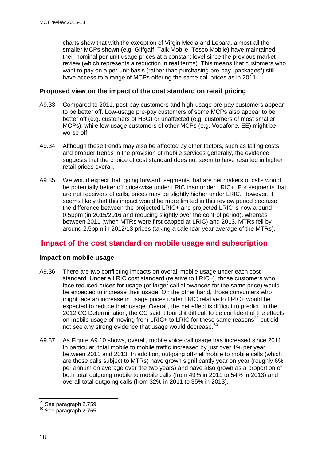charts show that with the exception of Virgin Media and Lebara, almost all the smaller MCPs shown (e.g. Giffgaff, Talk Mobile, Tesco Mobile) have maintained their nominal per-unit usage prices at a constant level since the previous market review (which represents a reduction in real terms). This means that customers who want to pay on a per-unit basis (rather than purchasing pre-pay "packages") still have access to a range of MCPs offering the same call prices as in 2011.

## **Proposed view on the impact of the cost standard on retail pricing**

- A9.33 Compared to 2011, post-pay customers and high-usage pre-pay customers appear to be better off. Low-usage pre-pay customers of some MCPs also appear to be better off (e.g. customers of H3G) or unaffected (e.g. customers of most smaller MCPs), while low usage customers of other MCPs (e.g. Vodafone, EE) might be worse off.
- A9.34 Although these trends may also be affected by other factors, such as falling costs and broader trends in the provision of mobile services generally, the evidence suggests that the choice of cost standard does not seem to have resulted in higher retail prices overall.
- A9.35 We would expect that, going forward, segments that are net makers of calls would be potentially better off price-wise under LRIC than under LRIC+. For segments that are net receivers of calls, prices may be slightly higher under LRIC. However, it seems likely that this impact would be more limited in this review period because the difference between the projected LRIC+ and projected LRIC is now around 0.5ppm (in 2015/2016 and reducing slightly over the control period), whereas between 2011 (when MTRs were first capped at LRIC) and 2013, MTRs fell by around 2.5ppm in 2012/13 prices (taking a calendar year average of the MTRs).

## **Impact of the cost standard on mobile usage and subscription**

#### **Impact on mobile usage**

- A9.36 There are two conflicting impacts on overall mobile usage under each cost standard. Under a LRIC cost standard (relative to LRIC+), those customers who face reduced prices for usage (or larger call allowances for the same price) would be expected to increase their usage. On the other hand, those consumers who might face an increase in usage prices under LRIC relative to LRIC+ would be expected to reduce their usage. Overall, the net effect is difficult to predict. In the 2012 CC Determination, the CC said it found it difficult to be confident of the effects on mobile usage of moving from LRIC+ to LRIC for these same reasons $^{29}$  $^{29}$  $^{29}$  but did not see any strong evidence that usage would decrease.<sup>[30](#page-20-1)</sup>
- A9.37 As Figure A9.10 shows, overall, mobile voice call usage has increased since 2011. In particular, total mobile to mobile traffic increased by just over 1% per year between 2011 and 2013. In addition, outgoing off-net mobile to mobile calls (which are those calls subject to MTRs) have grown significantly year on year (roughly 6% per annum on average over the two years) and have also grown as a proportion of both total outgoing mobile to mobile calls (from 49% in 2011 to 54% in 2013) and overall total outgoing calls (from 32% in 2011 to 35% in 2013).

<span id="page-20-0"></span><sup>&</sup>lt;sup>29</sup> See paragraph 2.759

<span id="page-20-1"></span> $30$  See paragraph 2.765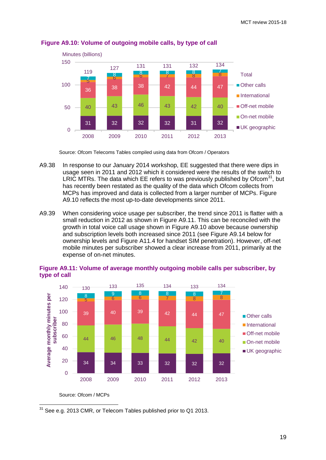

#### **Figure A9.10: Volume of outgoing mobile calls, by type of call**

Source: Ofcom Telecoms Tables compiled using data from Ofcom / Operators

- A9.38 In response to our January 2014 workshop, EE suggested that there were dips in usage seen in 2011 and 2012 which it considered were the results of the switch to LRIC MTRs. The data which EE refers to was previously published by Ofcom  $31$ , but has recently been restated as the quality of the data which Ofcom collects from MCPs has improved and data is collected from a larger number of MCPs. Figure A9.10 reflects the most up-to-date developments since 2011.
- A9.39 When considering voice usage per subscriber, the trend since 2011 is flatter with a small reduction in 2012 as shown in Figure A9.11. This can be reconciled with the growth in total voice call usage shown in Figure A9.10 above because ownership and subscription levels both increased since 2011 (see Figure A9.14 below for ownership levels and Figure A11.4 for handset SIM penetration). However, off-net mobile minutes per subscriber showed a clear increase from 2011, primarily at the expense of on-net minutes.



#### **Figure A9.11: Volume of average monthly outgoing mobile calls per subscriber, by type of call**

Source: Ofcom / MCPs

<span id="page-21-0"></span> $31$  See e.g. 2013 CMR, or Telecom Tables published prior to Q1 2013.  $\overline{a}$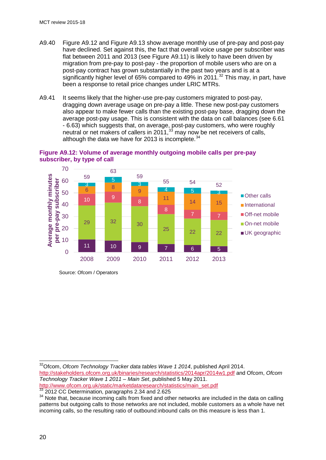- A9.40 Figure A9.12 and Figure A9.13 show average monthly use of pre-pay and post-pay have declined. Set against this, the fact that overall voice usage per subscriber was flat between 2011 and 2013 (see Figure A9.11) is likely to have been driven by migration from pre-pay to post-pay - the proportion of mobile users who are on a post-pay contract has grown substantially in the past two years and is at a significantly higher level of 65% compared to 49% in 2011. $32$  This may, in part, have been a response to retail price changes under LRIC MTRs.
- <span id="page-22-3"></span>A9.41 It seems likely that the higher-use pre-pay customers migrated to post-pay, dragging down average usage on pre-pay a little. These new post-pay customers also appear to make fewer calls than the existing post-pay base, dragging down the average post-pay usage. This is consistent with the data on call balances (see 6.61 - 6.63) which suggests that, on average, post-pay customers, who were roughly neutral or net makers of callers in 2011, $33$  may now be net receivers of calls, although the data we have for 2013 is incomplete. $34$



**Figure A9.12: Volume of average monthly outgoing mobile calls per pre-pay subscriber, by type of call**

Source: Ofcom / Operators

<span id="page-22-0"></span><sup>32</sup>Ofcom, *Ofcom Technology Tracker data tables Wave 1 2014*, published April 2014. <http://stakeholders.ofcom.org.uk/binaries/research/statistics/2014apr/2014w1.pdf> and Ofcom, *Ofcom Technology Tracker Wave 1 2011 – Main Set*, published 5 May 2011.

<span id="page-22-2"></span><span id="page-22-1"></span>

 $33/3012$  CC Determination, paragraphs 2.34 and 2.625<br> $34$  Note that, because incoming calls from fixed and other networks are included in the data on calling patterns but outgoing calls to those networks are not included, mobile customers as a whole have net incoming calls, so the resulting ratio of outbound:inbound calls on this measure is less than 1.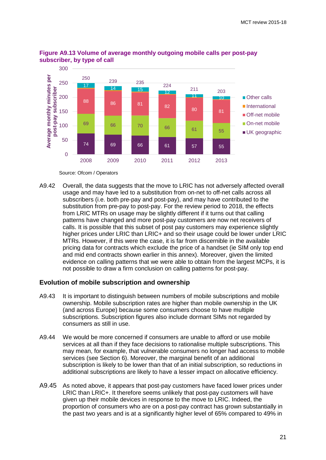



A9.42 Overall, the data suggests that the move to LRIC has not adversely affected overall usage and may have led to a substitution from on-net to off-net calls across all subscribers (i.e. both pre-pay and post-pay), and may have contributed to the substitution from pre-pay to post-pay. For the review period to 2018, the effects from LRIC MTRs on usage may be slightly different if it turns out that calling patterns have changed and more post-pay customers are now net receivers of calls. It is possible that this subset of post pay customers may experience slightly higher prices under LRIC than LRIC+ and so their usage could be lower under LRIC MTRs. However, if this were the case, it is far from discernible in the available pricing data for contracts which exclude the price of a handset (ie SIM only top end and mid end contracts shown earlier in this annex). Moreover, given the limited evidence on calling patterns that we were able to obtain from the largest MCPs, it is not possible to draw a firm conclusion on calling patterns for post-pay.

#### **Evolution of mobile subscription and ownership**

- A9.43 It is important to distinguish between numbers of mobile subscriptions and mobile ownership. Mobile subscription rates are higher than mobile ownership in the UK (and across Europe) because some consumers choose to have multiple subscriptions. Subscription figures also include dormant SIMs not regarded by consumers as still in use.
- A9.44 We would be more concerned if consumers are unable to afford or use mobile services at all than if they face decisions to rationalise multiple subscriptions. This may mean, for example, that vulnerable consumers no longer had access to mobile services (see Section 6). Moreover, the marginal benefit of an additional subscription is likely to be lower than that of an initial subscription, so reductions in additional subscriptions are likely to have a lesser impact on allocative efficiency.
- A9.45 As noted above, it appears that post-pay customers have faced lower prices under LRIC than LRIC+. It therefore seems unlikely that post-pay customers will have given up their mobile devices in response to the move to LRIC. Indeed, the proportion of consumers who are on a post-pay contract has grown substantially in the past two years and is at a significantly higher level of 65% compared to 49% in

Source: Ofcom / Operators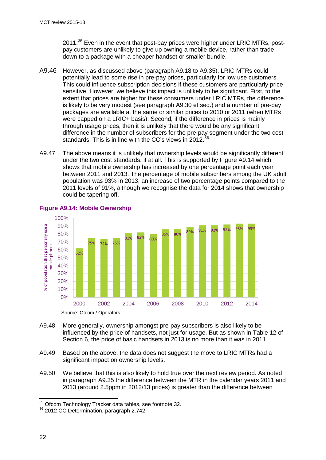2011.<sup>[35](#page-24-0)</sup> Even in the event that post-pay prices were higher under LRIC MTRs, postpay customers are unlikely to give up owning a mobile device, rather than tradedown to a package with a cheaper handset or smaller bundle.

- A9.46 However, as discussed above (paragraph A9.18 to A9.35), LRIC MTRs could potentially lead to some rise in pre-pay prices, particularly for low use customers. This could influence subscription decisions if these customers are particularly pricesensitive. However, we believe this impact is unlikely to be significant. First, to the extent that prices are higher for these consumers under LRIC MTRs, the difference is likely to be very modest (see paragraph A9.30 et seq.) and a number of pre-pay packages are available at the same or similar prices to 2010 or 2011 (when MTRs were capped on a LRIC+ basis). Second, if the difference in prices is mainly through usage prices, then it is unlikely that there would be any significant difference in the number of subscribers for the pre-pay segment under the two cost standards. This is in line with the CC's views in 2012.<sup>3</sup>
- A9.47 The above means it is unlikely that ownership levels would be significantly different under the two cost standards, if at all. This is supported by Figure A9.14 which shows that mobile ownership has increased by one percentage point each year between 2011 and 2013. The percentage of mobile subscribers among the UK adult population was 93% in 2013, an increase of two percentage points compared to the 2011 levels of 91%, although we recognise the data for 2014 shows that ownership could be tapering off.



## **Figure A9.14: Mobile Ownership**

- A9.48 More generally, ownership amongst pre-pay subscribers is also likely to be influenced by the price of handsets, not just for usage. But as shown in Table 12 of Section 6, the price of basic handsets in 2013 is no more than it was in 2011.
- A9.49 Based on the above, the data does not suggest the move to LRIC MTRs had a significant impact on ownership levels.
- A9.50 We believe that this is also likely to hold true over the next review period. As noted in paragraph A9.35 the difference between the MTR in the calendar years 2011 and 2013 (around 2.5ppm in 2012/13 prices) is greater than the difference between

<span id="page-24-0"></span> $^{35}$  Ofcom Technology Tracker data tables, see footnote [32.](#page-22-3)<br> $^{36}$  2012 CC Determination, paragraph 2.742  $\overline{a}$ 

<span id="page-24-1"></span>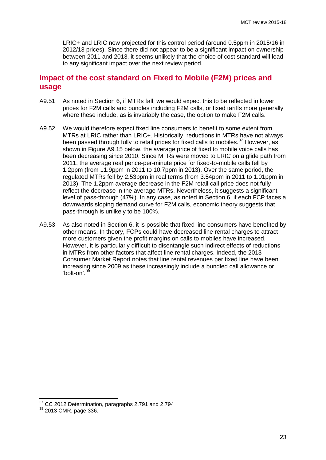LRIC+ and LRIC now projected for this control period (around 0.5ppm in 2015/16 in 2012/13 prices). Since there did not appear to be a significant impact on ownership between 2011 and 2013, it seems unlikely that the choice of cost standard will lead to any significant impact over the next review period.

## **Impact of the cost standard on Fixed to Mobile (F2M) prices and usage**

- A9.51 As noted in Section 6, if MTRs fall, we would expect this to be reflected in lower prices for F2M calls and bundles including F2M calls, or fixed tariffs more generally where these include, as is invariably the case, the option to make F2M calls.
- A9.52 We would therefore expect fixed line consumers to benefit to some extent from MTRs at LRIC rather than LRIC+. Historically, reductions in MTRs have not always been passed through fully to retail prices for fixed calls to mobiles.<sup>[37](#page-25-0)</sup> However, as shown in Figure A9.15 below, the average price of fixed to mobile voice calls has been decreasing since 2010. Since MTRs were moved to LRIC on a glide path from 2011, the average real pence-per-minute price for fixed-to-mobile calls fell by 1.2ppm (from 11.9ppm in 2011 to 10.7ppm in 2013). Over the same period, the regulated MTRs fell by 2.53ppm in real terms (from 3.54ppm in 2011 to 1.01ppm in 2013). The 1.2ppm average decrease in the F2M retail call price does not fully reflect the decrease in the average MTRs. Nevertheless, it suggests a significant level of pass-through (47%). In any case, as noted in Section 6, if each FCP faces a downwards sloping demand curve for F2M calls, economic theory suggests that pass-through is unlikely to be 100%.
- A9.53 As also noted in Section 6, it is possible that fixed line consumers have benefited by other means. In theory, FCPs could have decreased line rental charges to attract more customers given the profit margins on calls to mobiles have increased. However, it is particularly difficult to disentangle such indirect effects of reductions in MTRs from other factors that affect line rental charges. Indeed, the 2013 Consumer Market Report notes that line rental revenues per fixed line have been increasing since 2009 as these increasingly include a bundled call allowance or 'bolt-on'.<sup>[38](#page-25-1)</sup>

 $\frac{37}{10}$  CC 2012 Determination, paragraphs 2.791 and 2.794

<span id="page-25-1"></span><span id="page-25-0"></span><sup>38</sup> 2013 CMR, page 336.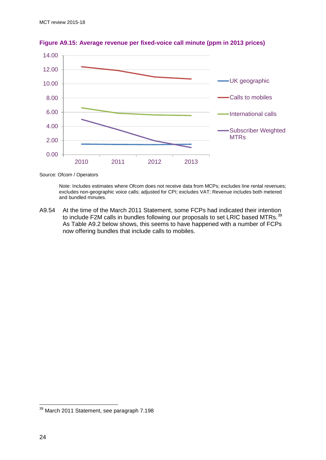

**Figure A9.15: Average revenue per fixed-voice call minute (ppm in 2013 prices)**

Source: Ofcom / Operators

Note: Includes estimates where Ofcom does not receive data from MCPs; excludes line rental revenues; excludes non-geographic voice calls; adjusted for CPI; excludes VAT; Revenue includes both metered and bundled minutes.

A9.54 At the time of the March 2011 Statement, some FCPs had indicated their intention to include F2M calls in bundles following our proposals to set LRIC based MTRs.<sup>[39](#page-26-0)</sup> As [Table A9.2](#page-27-0) below shows, this seems to have happened with a number of FCPs now offering bundles that include calls to mobiles.

<span id="page-26-0"></span><sup>&</sup>lt;sup>39</sup> March 2011 Statement, see paragraph 7.198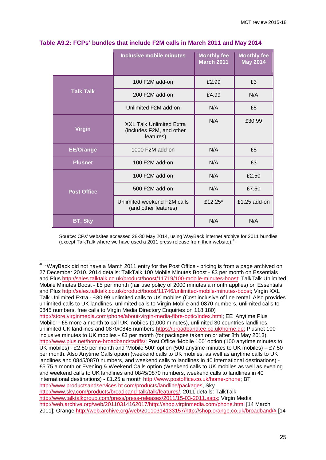|                    | <b>Inclusive mobile minutes</b>                                          | <b>Monthly fee</b><br><b>March 2011</b> | <b>Monthly fee</b><br><b>May 2014</b> |
|--------------------|--------------------------------------------------------------------------|-----------------------------------------|---------------------------------------|
|                    | 100 F2M add-on                                                           | £2.99                                   | £3                                    |
| <b>Talk Talk</b>   | 200 F2M add-on                                                           | £4.99                                   | N/A                                   |
|                    | Unlimited F2M add-on                                                     | N/A                                     | £5                                    |
| <b>Virgin</b>      | <b>XXL Talk Unlimited Extra</b><br>(includes F2M, and other<br>features) |                                         | £30.99                                |
| <b>EE/Orange</b>   | 1000 F2M add-on                                                          | N/A                                     | £5                                    |
| <b>Plusnet</b>     | 100 F2M add-on                                                           | N/A                                     | £3                                    |
|                    | 100 F2M add-on                                                           | N/A                                     | £2.50                                 |
| <b>Post Office</b> | 500 F2M add-on                                                           | N/A                                     | £7.50                                 |
|                    | Unlimited weekend F2M calls<br>(and other features)                      | £12.25*                                 | £1.25 add-on                          |
| BT, Sky            |                                                                          | N/A                                     | N/A                                   |

#### <span id="page-27-0"></span>**Table A9.2: FCPs' bundles that include F2M calls in March 2011 and May 2014**

Source: CPs' websites accessed 28-30 May 2014, using WayBack internet archive for 2011 bundles (except TalkTalk where we have used a 2011 press release from their website).<sup>[40](#page-27-1)</sup>

<span id="page-27-1"></span> $^{40}$  \*WayBack did not have a March 2011 entry for the Post Office - pricing is from a page archived on 27 December 2010. 2014 details: TalkTalk 100 Mobile Minutes Boost - £3 per month on Essentials and Plus [http://sales.talktalk.co.uk/product/boost/11719/100-mobile-minutes-boost;](http://sales.talktalk.co.uk/product/boost/11719/100-mobile-minutes-boost) TalkTalk Unlimited Mobile Minutes Boost - £5 per month (fair use policy of 2000 minutes a month applies) on Essentials and Plus [http://sales.talktalk.co.uk/product/boost/11746/unlimited-mobile-minutes-boost;](http://sales.talktalk.co.uk/product/boost/11746/unlimited-mobile-minutes-boost) Virgin XXL Talk Unlimited Extra - £30.99 unlimited calls to UK mobiles (Cost inclusive of line rental. Also provides unlimited calls to UK landlines, unlimited calls to Virgin Mobile and 0870 numbers, unlimited calls to 0845 numbers, free calls to Virgin Media Directory Enquiries on 118 180)  $\overline{a}$ 

[http://store.virginmedia.com/phone/about-virgin-media-fibre-optic/index.html;](http://store.virginmedia.com/phone/about-virgin-media-fibre-optic/index.html) EE 'Anytime Plus Mobile' - £5 more a month to call UK mobiles (1,000 minutes), unlimited 30 countries landlines, unlimited UK landlines and 0870/0845 numbers [https://broadband.ee.co.uk/home.do;](https://broadband.ee.co.uk/home.do) Plusnet 100 inclusive minutes to UK mobiles - £3 per month (for packages taken on or after 8th May 2013) [http://www.plus.net/home-broadband/tariffs/;](http://www.plus.net/home-broadband/tariffs/) Post Office 'Mobile 100' option (100 anytime minutes to UK mobiles) - £2.50 per month and 'Mobile 500' option (500 anytime minutes to UK mobiles) – £7.50 per month. Also Anytime Calls option (weekend calls to UK mobiles, as well as anytime calls to UK landlines and 0845/0870 numbers, and weekend calls to landlines in 40 international destinations) - £5.75 a month or Evening & Weekend Calls option (Weekend calls to UK mobiles as well as evening and weekend calls to UK landlines and 0845/0870 numbers, weekend calls to landlines in 40 international destinations) - £1.25 a month [http://www.postoffice.co.uk/home-phone;](http://www.postoffice.co.uk/home-phone) BT [http://www.productsandservices.bt.com/products/landline/packages,](http://www.productsandservices.bt.com/products/landline/packages) Sky [http://www.sky.com/products/broadband-talk/talk/features/.](http://www.sky.com/products/broadband-talk/talk/features/) 2011 details: TalkTalk [http://www.talktalkgroup.com/press/press-releases/2011/15-03-2011.aspx;](http://www.talktalkgroup.com/press/press-releases/2011/15-03-2011.aspx) Virgin Media [http://web.archive.org/web/20110314162017/http://shop.virginmedia.com/phone.html](http://web.archive.org/web/20110314162017/http:/shop.virginmedia.com/phone.html) [14 March 2011]; Orange [http://web.archive.org/web/20110314133157/http://shop.orange.co.uk/broadband/#](http://web.archive.org/web/20110314133157/http:/shop.orange.co.uk/broadband/) [14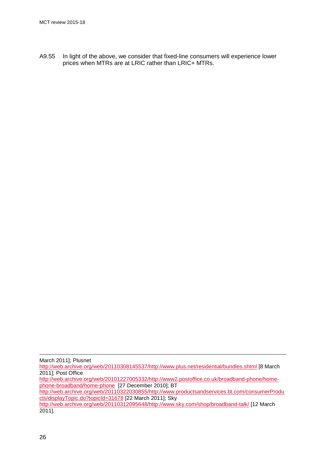A9.55 In light of the above, we consider that fixed-line consumers will experience lower prices when MTRs are at LRIC rather than LRIC+ MTRs.

[http://web.archive.org/web/20110308145537/http://www.plus.net/residential/bundles.shtml](http://web.archive.org/web/20110308145537/http:/www.plus.net/residential/bundles.shtml) [8 March 2011]; Post Office [http://web.archive.org/web/20101227005332/http://www2.postoffice.co.uk/broadband-phone/home](http://web.archive.org/web/20101227005332/http:/www2.postoffice.co.uk/broadband-phone/home-phone-broadband/home-phone)[phone-broadband/home-phone](http://web.archive.org/web/20101227005332/http:/www2.postoffice.co.uk/broadband-phone/home-phone-broadband/home-phone) [27 December 2010]; BT [http://web.archive.org/web/20110322030855/http://www.productsandservices.bt.com/consumerProdu](http://web.archive.org/web/20110322030855/http:/www.productsandservices.bt.com/consumerProducts/displayTopic.do?topicId=31678) [cts/displayTopic.do?topicId=31678](http://web.archive.org/web/20110322030855/http:/www.productsandservices.bt.com/consumerProducts/displayTopic.do?topicId=31678) [22 March 2011]; Sky

[http://web.archive.org/web/20110312095648/http://www.sky.com/shop/broadband-talk/](http://web.archive.org/web/20110312095648/http:/www.sky.com/shop/broadband-talk/) [12 March 2011].

March 2011]; Plusnet -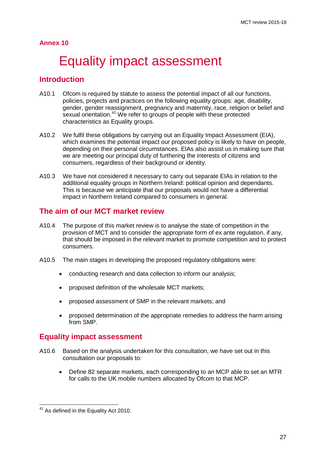## <span id="page-29-0"></span>**Annex 10**

## Equality impact assessment

## **Introduction**

- A10.1 Ofcom is required by statute to assess the potential impact of all our functions, policies, projects and practices on the following equality groups: age, disability, gender, gender reassignment, pregnancy and maternity, race, religion or belief and sexual orientation.<sup>[41](#page-29-1)</sup> We refer to groups of people with these protected characteristics as Equality groups.
- A10.2 We fulfil these obligations by carrying out an Equality Impact Assessment (EIA), which examines the potential impact our proposed policy is likely to have on people, depending on their personal circumstances. EIAs also assist us in making sure that we are meeting our principal duty of furthering the interests of citizens and consumers, regardless of their background or identity.
- A10.3 We have not considered it necessary to carry out separate EIAs in relation to the additional equality groups in Northern Ireland: political opinion and dependants. This is because we anticipate that our proposals would not have a differential impact in Northern Ireland compared to consumers in general.

## **The aim of our MCT market review**

- A10.4 The purpose of this market review is to analyse the state of competition in the provision of MCT and to consider the appropriate form of ex ante regulation, if any, that should be imposed in the relevant market to promote competition and to protect consumers.
- A10.5 The main stages in developing the proposed regulatory obligations were:
	- conducting research and data collection to inform our analysis;
	- proposed definition of the wholesale MCT markets;
	- proposed assessment of SMP in the relevant markets; and
	- proposed determination of the appropriate remedies to address the harm arising from SMP.

## **Equality impact assessment**

- A10.6 Based on the analysis undertaken for this consultation, we have set out in this consultation our proposals to:
	- Define 82 separate markets, each corresponding to an MCP able to set an MTR for calls to the UK mobile numbers allocated by Ofcom to that MCP.

<span id="page-29-1"></span><sup>&</sup>lt;sup>41</sup> As defined in the Equality Act 2010.  $\overline{a}$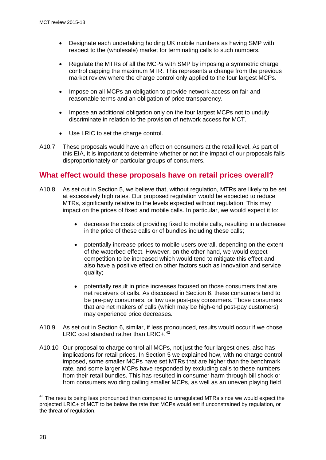- Designate each undertaking holding UK mobile numbers as having SMP with respect to the (wholesale) market for terminating calls to such numbers.
- Regulate the MTRs of all the MCPs with SMP by imposing a symmetric charge control capping the maximum MTR. This represents a change from the previous market review where the charge control only applied to the four largest MCPs.
- Impose on all MCPs an obligation to provide network access on fair and reasonable terms and an obligation of price transparency.
- Impose an additional obligation only on the four largest MCPs not to unduly discriminate in relation to the provision of network access for MCT.
- Use LRIC to set the charge control.
- A10.7 These proposals would have an effect on consumers at the retail level. As part of this EIA, it is important to determine whether or not the impact of our proposals falls disproportionately on particular groups of consumers.

## **What effect would these proposals have on retail prices overall?**

- A10.8 As set out in Section 5, we believe that, without regulation, MTRs are likely to be set at excessively high rates. Our proposed regulation would be expected to reduce MTRs, significantly relative to the levels expected without regulation. This may impact on the prices of fixed and mobile calls. In particular, we would expect it to:
	- decrease the costs of providing fixed to mobile calls, resulting in a decrease in the price of these calls or of bundles including these calls;
	- potentially increase prices to mobile users overall, depending on the extent of the waterbed effect. However, on the other hand, we would expect competition to be increased which would tend to mitigate this effect and also have a positive effect on other factors such as innovation and service quality;
	- potentially result in price increases focused on those consumers that are net receivers of calls. As discussed in Section 6, these consumers tend to be pre-pay consumers, or low use post-pay consumers. Those consumers that are net makers of calls (which may be high-end post-pay customers) may experience price decreases.
- A10.9 As set out in Section 6, similar, if less pronounced, results would occur if we chose LRIC cost standard rather than LRIC+. $42$
- A10.10 Our proposal to charge control all MCPs, not just the four largest ones, also has implications for retail prices. In Section 5 we explained how, with no charge control imposed, some smaller MCPs have set MTRs that are higher than the benchmark rate, and some larger MCPs have responded by excluding calls to these numbers from their retail bundles. This has resulted in consumer harm through bill shock or from consumers avoiding calling smaller MCPs, as well as an uneven playing field

<span id="page-30-0"></span> $42$  The results being less pronounced than compared to unregulated MTRs since we would expect the projected LRIC+ of MCT to be below the rate that MCPs would set if unconstrained by regulation, or the threat of regulation.  $\overline{\phantom{a}}$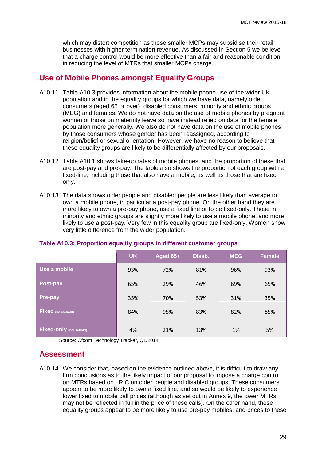which may distort competition as these smaller MCPs may subsidise their retail businesses with higher termination revenue. As discussed in Section 5 we believe that a charge control would be more effective than a fair and reasonable condition in reducing the level of MTRs that smaller MCPs charge.

## **Use of Mobile Phones amongst Equality Groups**

- A10.11 [Table A10.3](#page-31-0) provides information about the mobile phone use of the wider UK population and in the equality groups for which we have data, namely older consumers (aged 65 or over), disabled consumers, minority and ethnic groups (MEG) and females. We do not have data on the use of mobile phones by pregnant women or those on maternity leave so have instead relied on data for the female population more generally. We also do not have data on the use of mobile phones by those consumers whose gender has been reassigned, according to religion/belief or sexual orientation. However, we have no reason to believe that these equality groups are likely to be differentially affected by our proposals.
- A10.12 Table A10.1 shows take-up rates of mobile phones, and the proportion of these that are post-pay and pre-pay. The table also shows the proportion of each group with a fixed-line, including those that also have a mobile, as well as those that are fixed only.
- A10.13 The data shows older people and disabled people are less likely than average to own a mobile phone, in particular a post-pay phone. On the other hand they are more likely to own a pre-pay phone, use a fixed line or to be fixed-only. Those in minority and ethnic groups are slightly more likely to use a mobile phone, and more likely to use a post-pay. Very few in this equality group are fixed-only. Women show very little difference from the wider population.

|                               | <b>UK</b> | <b>Aged 65+</b> | Disab. | <b>MEG</b> | Female |
|-------------------------------|-----------|-----------------|--------|------------|--------|
| Use a mobile                  | 93%       | 72%             | 81%    | 96%        | 93%    |
| Post-pay                      | 65%       | 29%             | 46%    | 69%        | 65%    |
| Pre-pay                       | 35%       | 70%             | 53%    | 31%        | 35%    |
| <b>Fixed</b> (household)      | 84%       | 95%             | 83%    | 82%        | 85%    |
| <b>Fixed-only (household)</b> | 4%        | 21%             | 13%    | 1%         | 5%     |

#### <span id="page-31-0"></span>**Table A10.3: Proportion equality groups in different customer groups**

Source: Ofcom Technology Tracker, Q1/2014.

## **Assessment**

A10.14 We consider that, based on the evidence outlined above, it is difficult to draw any firm conclusions as to the likely impact of our proposal to impose a charge control on MTRs based on LRIC on older people and disabled groups. These consumers appear to be more likely to own a fixed line, and so would be likely to experience lower fixed to mobile call prices (although as set out in Annex 9, the lower MTRs may not be reflected in full in the price of these calls). On the other hand, these equality groups appear to be more likely to use pre-pay mobiles, and prices to these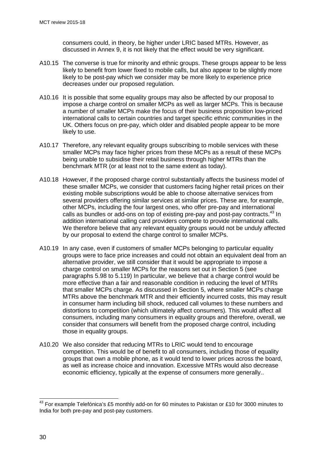consumers could, in theory, be higher under LRIC based MTRs. However, as discussed in Annex 9, it is not likely that the effect would be very significant.

- A10.15 The converse is true for minority and ethnic groups. These groups appear to be less likely to benefit from lower fixed to mobile calls, but also appear to be slightly more likely to be post-pay which we consider may be more likely to experience price decreases under our proposed regulation.
- A10.16 It is possible that some equality groups may also be affected by our proposal to impose a charge control on smaller MCPs as well as larger MCPs. This is because a number of smaller MCPs make the focus of their business proposition low-priced international calls to certain countries and target specific ethnic communities in the UK. Others focus on pre-pay, which older and disabled people appear to be more likely to use.
- A10.17 Therefore, any relevant equality groups subscribing to mobile services with these smaller MCPs may face higher prices from these MCPs as a result of these MCPs being unable to subsidise their retail business through higher MTRs than the benchmark MTR (or at least not to the same extent as today).
- A10.18 However, if the proposed charge control substantially affects the business model of these smaller MCPs, we consider that customers facing higher retail prices on their existing mobile subscriptions would be able to choose alternative services from several providers offering similar services at similar prices. These are, for example, other MCPs, including the four largest ones, who offer pre-pay and international calls as bundles or add-ons on top of existing pre-pay and post-pay contracts.<sup>[43](#page-32-0)</sup> In addition international calling card providers compete to provide international calls. We therefore believe that any relevant equality groups would not be unduly affected by our proposal to extend the charge control to smaller MCPs.
- A10.19 In any case, even if customers of smaller MCPs belonging to particular equality groups were to face price increases and could not obtain an equivalent deal from an alternative provider, we still consider that it would be appropriate to impose a charge control on smaller MCPs for the reasons set out in Section 5 (see paragraphs 5.98 to 5.119) In particular, we believe that a charge control would be more effective than a fair and reasonable condition in reducing the level of MTRs that smaller MCPs charge. As discussed in Section 5, where smaller MCPs charge MTRs above the benchmark MTR and their efficiently incurred costs, this may result in consumer harm including bill shock, reduced call volumes to these numbers and distortions to competition (which ultimately affect consumers). This would affect all consumers, including many consumers in equality groups and therefore, overall, we consider that consumers will benefit from the proposed charge control, including those in equality groups.
- A10.20 We also consider that reducing MTRs to LRIC would tend to encourage competition. This would be of benefit to all consumers, including those of equality groups that own a mobile phone, as it would tend to lower prices across the board, as well as increase choice and innovation. Excessive MTRs would also decrease economic efficiency, typically at the expense of consumers more generally..

<span id="page-32-0"></span> $^{43}$  For example Telefónica's £5 monthly add-on for 60 minutes to Pakistan or £10 for 3000 minutes to India for both pre-pay and post-pay customers.  $\overline{a}$